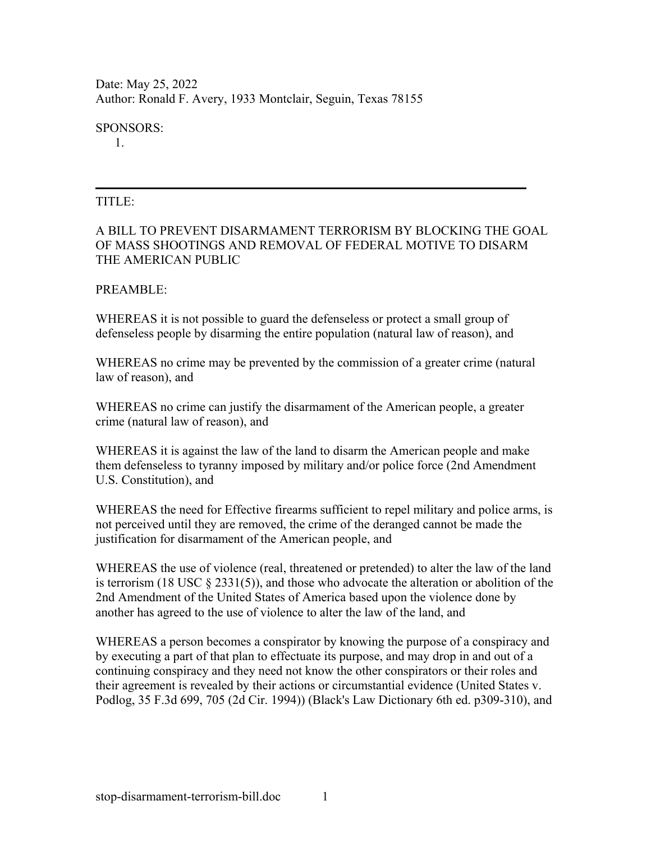Date: May 25, 2022 Author: Ronald F. Avery, 1933 Montclair, Seguin, Texas 78155

SPONSORS:

1.

#### TITLE:

### A BILL TO PREVENT DISARMAMENT TERRORISM BY BLOCKING THE GOAL OF MASS SHOOTINGS AND REMOVAL OF FEDERAL MOTIVE TO DISARM THE AMERICAN PUBLIC

#### PREAMBLE:

WHEREAS it is not possible to guard the defenseless or protect a small group of defenseless people by disarming the entire population (natural law of reason), and

WHEREAS no crime may be prevented by the commission of a greater crime (natural law of reason), and

WHEREAS no crime can justify the disarmament of the American people, a greater crime (natural law of reason), and

WHEREAS it is against the law of the land to disarm the American people and make them defenseless to tyranny imposed by military and/or police force (2nd Amendment U.S. Constitution), and

WHEREAS the need for Effective firearms sufficient to repel military and police arms, is not perceived until they are removed, the crime of the deranged cannot be made the justification for disarmament of the American people, and

WHEREAS the use of violence (real, threatened or pretended) to alter the law of the land is terrorism (18 USC  $\S$  2331(5)), and those who advocate the alteration or abolition of the 2nd Amendment of the United States of America based upon the violence done by another has agreed to the use of violence to alter the law of the land, and

WHEREAS a person becomes a conspirator by knowing the purpose of a conspiracy and by executing a part of that plan to effectuate its purpose, and may drop in and out of a continuing conspiracy and they need not know the other conspirators or their roles and their agreement is revealed by their actions or circumstantial evidence (United States v. Podlog, 35 F.3d 699, 705 (2d Cir. 1994)) (Black's Law Dictionary 6th ed. p309-310), and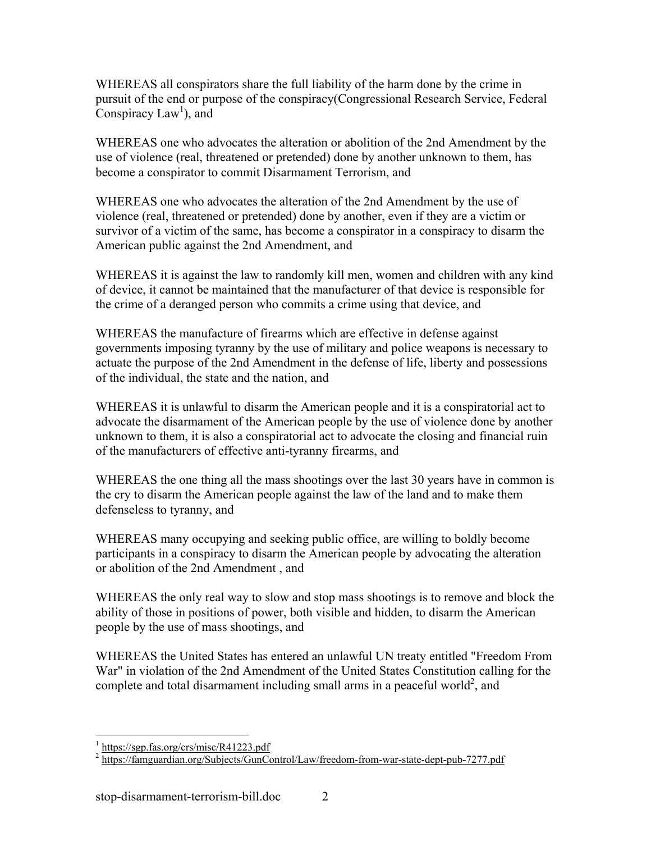WHEREAS all conspirators share the full liability of the harm done by the crime in pursuit of the end or purpose of the conspiracy(Congressional Research Service, Federal Conspiracy  $Law<sup>1</sup>$ ), and

WHEREAS one who advocates the alteration or abolition of the 2nd Amendment by the use of violence (real, threatened or pretended) done by another unknown to them, has become a conspirator to commit Disarmament Terrorism, and

WHEREAS one who advocates the alteration of the 2nd Amendment by the use of violence (real, threatened or pretended) done by another, even if they are a victim or survivor of a victim of the same, has become a conspirator in a conspiracy to disarm the American public against the 2nd Amendment, and

WHEREAS it is against the law to randomly kill men, women and children with any kind of device, it cannot be maintained that the manufacturer of that device is responsible for the crime of a deranged person who commits a crime using that device, and

WHEREAS the manufacture of firearms which are effective in defense against governments imposing tyranny by the use of military and police weapons is necessary to actuate the purpose of the 2nd Amendment in the defense of life, liberty and possessions of the individual, the state and the nation, and

WHEREAS it is unlawful to disarm the American people and it is a conspiratorial act to advocate the disarmament of the American people by the use of violence done by another unknown to them, it is also a conspiratorial act to advocate the closing and financial ruin of the manufacturers of effective anti-tyranny firearms, and

WHEREAS the one thing all the mass shootings over the last 30 years have in common is the cry to disarm the American people against the law of the land and to make them defenseless to tyranny, and

WHEREAS many occupying and seeking public office, are willing to boldly become participants in a conspiracy to disarm the American people by advocating the alteration or abolition of the 2nd Amendment , and

WHEREAS the only real way to slow and stop mass shootings is to remove and block the ability of those in positions of power, both visible and hidden, to disarm the American people by the use of mass shootings, and

WHEREAS the United States has entered an unlawful UN treaty entitled "Freedom From War" in violation of the 2nd Amendment of the United States Constitution calling for the complete and total disarmament including small arms in a peaceful world<sup>2</sup>, and

1

<sup>&</sup>lt;sup>1</sup> https://sgp.fas.org/crs/misc/R41223.pdf

<sup>&</sup>lt;sup>2</sup> https://famguardian.org/Subjects/GunControl/Law/freedom-from-war-state-dept-pub-7277.pdf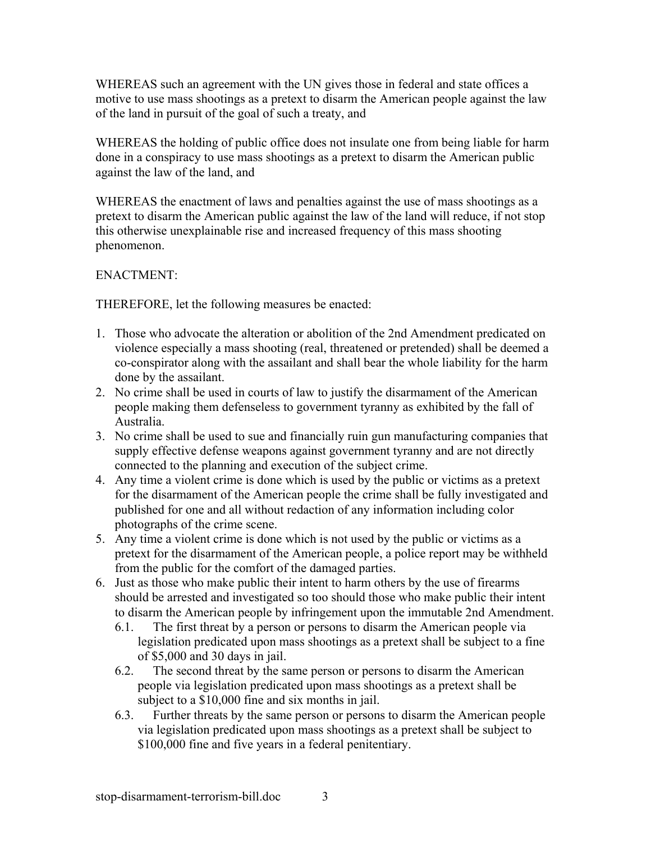WHEREAS such an agreement with the UN gives those in federal and state offices a motive to use mass shootings as a pretext to disarm the American people against the law of the land in pursuit of the goal of such a treaty, and

WHEREAS the holding of public office does not insulate one from being liable for harm done in a conspiracy to use mass shootings as a pretext to disarm the American public against the law of the land, and

WHEREAS the enactment of laws and penalties against the use of mass shootings as a pretext to disarm the American public against the law of the land will reduce, if not stop this otherwise unexplainable rise and increased frequency of this mass shooting phenomenon.

# ENACTMENT:

THEREFORE, let the following measures be enacted:

- 1. Those who advocate the alteration or abolition of the 2nd Amendment predicated on violence especially a mass shooting (real, threatened or pretended) shall be deemed a co-conspirator along with the assailant and shall bear the whole liability for the harm done by the assailant.
- 2. No crime shall be used in courts of law to justify the disarmament of the American people making them defenseless to government tyranny as exhibited by the fall of Australia.
- 3. No crime shall be used to sue and financially ruin gun manufacturing companies that supply effective defense weapons against government tyranny and are not directly connected to the planning and execution of the subject crime.
- 4. Any time a violent crime is done which is used by the public or victims as a pretext for the disarmament of the American people the crime shall be fully investigated and published for one and all without redaction of any information including color photographs of the crime scene.
- 5. Any time a violent crime is done which is not used by the public or victims as a pretext for the disarmament of the American people, a police report may be withheld from the public for the comfort of the damaged parties.
- 6. Just as those who make public their intent to harm others by the use of firearms should be arrested and investigated so too should those who make public their intent to disarm the American people by infringement upon the immutable 2nd Amendment.
	- 6.1. The first threat by a person or persons to disarm the American people via legislation predicated upon mass shootings as a pretext shall be subject to a fine of \$5,000 and 30 days in jail.
	- 6.2. The second threat by the same person or persons to disarm the American people via legislation predicated upon mass shootings as a pretext shall be subject to a \$10,000 fine and six months in jail.
	- 6.3. Further threats by the same person or persons to disarm the American people via legislation predicated upon mass shootings as a pretext shall be subject to \$100,000 fine and five years in a federal penitentiary.